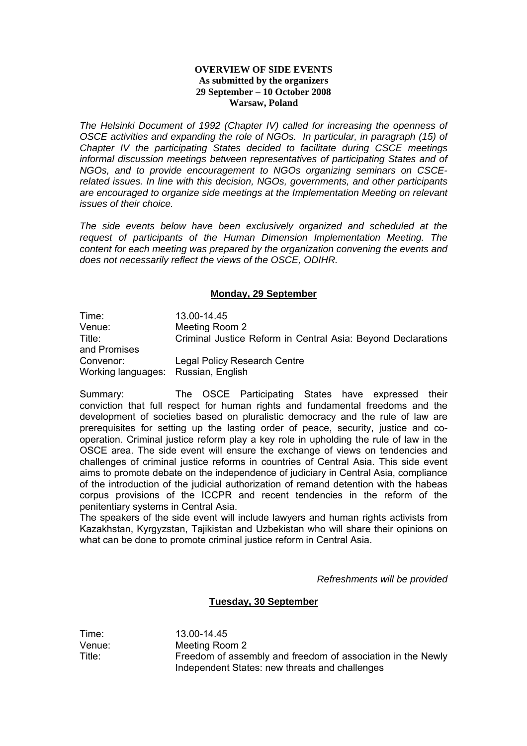## **OVERVIEW OF SIDE EVENTS As submitted by the organizers 29 September – 10 October 2008 Warsaw, Poland**

*The Helsinki Document of 1992 (Chapter IV) called for increasing the openness of OSCE activities and expanding the role of NGOs. In particular, in paragraph (15) of Chapter IV the participating States decided to facilitate during CSCE meetings informal discussion meetings between representatives of participating States and of NGOs, and to provide encouragement to NGOs organizing seminars on CSCErelated issues. In line with this decision, NGOs, governments, and other participants are encouraged to organize side meetings at the Implementation Meeting on relevant issues of their choice.* 

*The side events below have been exclusively organized and scheduled at the request of participants of the Human Dimension Implementation Meeting. The content for each meeting was prepared by the organization convening the events and does not necessarily reflect the views of the OSCE, ODIHR.* 

# **Monday, 29 September**

Time: 13.00-14.45 Venue: Meeting Room 2 Title: Criminal Justice Reform in Central Asia: Beyond Declarations and Promises Convenor: Legal Policy Research Centre Working languages: Russian, English

Summary: The OSCE Participating States have expressed their conviction that full respect for human rights and fundamental freedoms and the development of societies based on pluralistic democracy and the rule of law are prerequisites for setting up the lasting order of peace, security, justice and cooperation. Criminal justice reform play a key role in upholding the rule of law in the OSCE area. The side event will ensure the exchange of views on tendencies and challenges of criminal justice reforms in countries of Central Asia. This side event aims to promote debate on the independence of judiciary in Central Asia, compliance of the introduction of the judicial authorization of remand detention with the habeas corpus provisions of the ICCPR and recent tendencies in the reform of the penitentiary systems in Central Asia.

The speakers of the side event will include lawyers and human rights activists from Kazakhstan, Kyrgyzstan, Tajikistan and Uzbekistan who will share their opinions on what can be done to promote criminal justice reform in Central Asia.

*Refreshments will be provided* 

# **Tuesday, 30 September**

Time: 13.00-14.45 Venue: Meeting Room 2 Title: Freedom of assembly and freedom of association in the Newly Independent States: new threats and challenges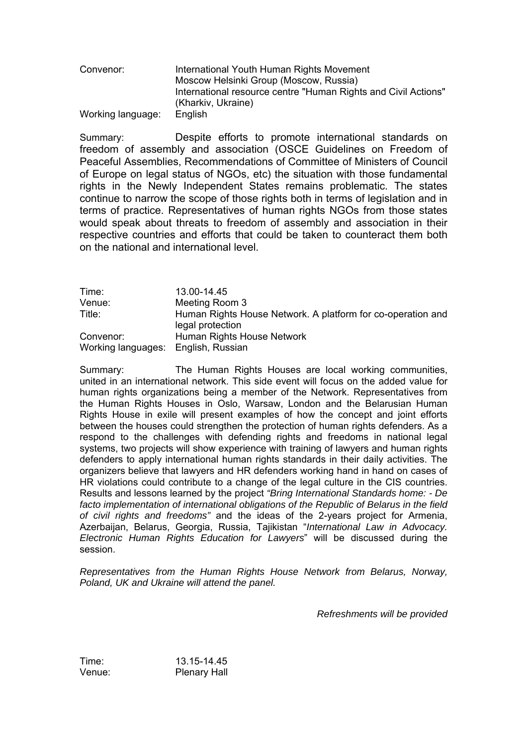Convenor: International Youth Human Rights Movement Moscow Helsinki Group (Moscow, Russia) International resource centre "Human Rights and Civil Actions" (Kharkiv, Ukraine) Working language: English

Summary: Despite efforts to promote international standards on freedom of assembly and association (OSCE Guidelines on Freedom of Peaceful Assemblies, Recommendations of Committee of Ministers of Council of Europe on legal status of NGOs, etc) the situation with those fundamental rights in the Newly Independent States remains problematic. The states continue to narrow the scope of those rights both in terms of legislation and in terms of practice. Representatives of human rights NGOs from those states would speak about threats to freedom of assembly and association in their respective countries and efforts that could be taken to counteract them both on the national and international level.

| Time:                               | 13.00-14.45                                                                     |
|-------------------------------------|---------------------------------------------------------------------------------|
| Venue:                              | Meeting Room 3                                                                  |
| Title:                              | Human Rights House Network. A platform for co-operation and<br>legal protection |
| Convenor:                           | Human Rights House Network                                                      |
| Working languages: English, Russian |                                                                                 |

Summary: The Human Rights Houses are local working communities, united in an international network. This side event will focus on the added value for human rights organizations being a member of the Network. Representatives from the Human Rights Houses in Oslo, Warsaw, London and the Belarusian Human Rights House in exile will present examples of how the concept and joint efforts between the houses could strengthen the protection of human rights defenders. As a respond to the challenges with defending rights and freedoms in national legal systems, two projects will show experience with training of lawyers and human rights defenders to apply international human rights standards in their daily activities. The organizers believe that lawyers and HR defenders working hand in hand on cases of HR violations could contribute to a change of the legal culture in the CIS countries. Results and lessons learned by the project *"Bring International Standards home: - De facto implementation of international obligations of the Republic of Belarus in the field of civil rights and freedoms"* and the ideas of the 2-years project for Armenia, Azerbaijan, Belarus, Georgia, Russia, Tajikistan "International Law in Advocacy. *Electronic Human Rights Education for Lawyers*î will be discussed during the session.

*Representatives from the Human Rights House Network from Belarus, Norway, Poland, UK and Ukraine will attend the panel.*

*Refreshments will be provided* 

Time: 13.15-14.45 Venue: Plenary Hall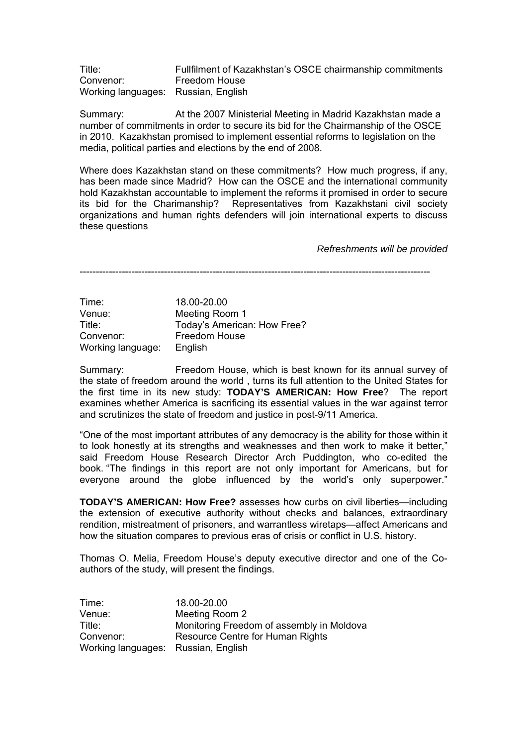Title: Fullfilment of Kazakhstanís OSCE chairmanship commitments Convenor: Freedom House Working languages: Russian, English

Summary: At the 2007 Ministerial Meeting in Madrid Kazakhstan made a number of commitments in order to secure its bid for the Chairmanship of the OSCE in 2010. Kazakhstan promised to implement essential reforms to legislation on the media, political parties and elections by the end of 2008.

Where does Kazakhstan stand on these commitments? How much progress, if any, has been made since Madrid? How can the OSCE and the international community hold Kazakhstan accountable to implement the reforms it promised in order to secure its bid for the Charimanship? Representatives from Kazakhstani civil society organizations and human rights defenders will join international experts to discuss these questions

*Refreshments will be provided* 

------------------------------------------------------------------------------------------------------------

Time: 18.00-20.00 Venue: Meeting Room 1<br>Title: Todav's America Today's American: How Free? Convenor: Freedom House Working language: English

Summary: Freedom House, which is best known for its annual survey of the state of freedom around the world , turns its full attention to the United States for the first time in its new study: **TODAY'S AMERICAN: How Free**? The report examines whether America is sacrificing its essential values in the war against terror and scrutinizes the state of freedom and justice in post-9/11 America.

ìOne of the most important attributes of any democracy is the ability for those within it to look honestly at its strengths and weaknesses and then work to make it better," said Freedom House Research Director Arch Puddington, who co-edited the book. "The findings in this report are not only important for Americans, but for everyone around the globe influenced by the world's only superpower."

**TODAY'S AMERICAN: How Free?** assesses how curbs on civil liberties—including the extension of executive authority without checks and balances, extraordinary rendition, mistreatment of prisoners, and warrantless wiretaps—affect Americans and how the situation compares to previous eras of crisis or conflict in U.S. history.

Thomas O. Melia, Freedom House's deputy executive director and one of the Coauthors of the study, will present the findings.

| Time:                               | 18.00-20.00                               |
|-------------------------------------|-------------------------------------------|
| Venue:                              | Meeting Room 2                            |
| Title:                              | Monitoring Freedom of assembly in Moldova |
| Convenor:                           | Resource Centre for Human Rights          |
| Working languages: Russian, English |                                           |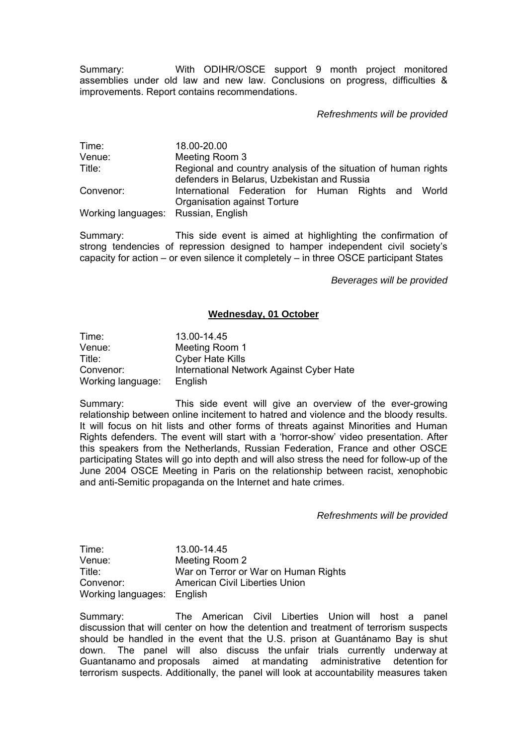Summary: With ODIHR/OSCE support 9 month project monitored assemblies under old law and new law. Conclusions on progress, difficulties & improvements. Report contains recommendations.

# *Refreshments will be provided*

Time: 18.00-20.00 Venue: Meeting Room 3 Title: Regional and country analysis of the situation of human rights defenders in Belarus, Uzbekistan and Russia Convenor: International Federation for Human Rights and World Organisation against Torture Working languages: Russian, English

Summary: This side event is aimed at highlighting the confirmation of strong tendencies of repression designed to hamper independent civil society's capacity for action  $-$  or even silence it completely  $-$  in three OSCE participant States

*Beverages will be provided* 

### **Wednesday, 01 October**

| Time:             | 13.00-14.45                              |
|-------------------|------------------------------------------|
| Venue:            | Meeting Room 1                           |
| Title:            | <b>Cyber Hate Kills</b>                  |
| Convenor:         | International Network Against Cyber Hate |
| Working language: | English                                  |

Summary: This side event will give an overview of the ever-growing relationship between online incitement to hatred and violence and the bloody results. It will focus on hit lists and other forms of threats against Minorities and Human Rights defenders. The event will start with a 'horror-show' video presentation. After this speakers from the Netherlands, Russian Federation, France and other OSCE participating States will go into depth and will also stress the need for follow-up of the June 2004 OSCE Meeting in Paris on the relationship between racist, xenophobic and anti-Semitic propaganda on the Internet and hate crimes.

*Refreshments will be provided* 

Time: 13.00-14.45 Venue: Meeting Room 2 Title: War on Terror or War on Human Rights Convenor: American Civil Liberties Union Working languages: English

Summary: The American Civil Liberties Union will host a panel discussion that will center on how the detention and treatment of terrorism suspects should be handled in the event that the U.S. prison at Guantánamo Bay is shut down. The panel will also discuss the unfair trials currently underway at Guantanamo and proposals aimed at mandating administrative detention for terrorism suspects. Additionally, the panel will look at accountability measures taken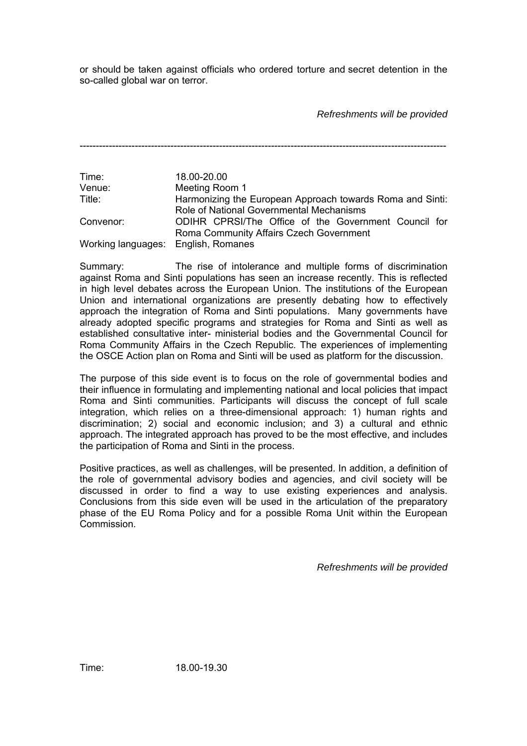or should be taken against officials who ordered torture and secret detention in the so-called global war on terror.

*Refreshments will be provided* 

-----------------------------------------------------------------------------------------------------------------

Time: 18.00-20.00 Venue: Meeting Room 1 Title: Harmonizing the European Approach towards Roma and Sinti: Role of National Governmental Mechanisms Convenor: ODIHR CPRSI/The Office of the Government Council for Roma Community Affairs Czech Government Working languages: English, Romanes

Summary: The rise of intolerance and multiple forms of discrimination against Roma and Sinti populations has seen an increase recently. This is reflected in high level debates across the European Union. The institutions of the European Union and international organizations are presently debating how to effectively approach the integration of Roma and Sinti populations. Many governments have already adopted specific programs and strategies for Roma and Sinti as well as established consultative inter- ministerial bodies and the Governmental Council for Roma Community Affairs in the Czech Republic. The experiences of implementing the OSCE Action plan on Roma and Sinti will be used as platform for the discussion.

The purpose of this side event is to focus on the role of governmental bodies and their influence in formulating and implementing national and local policies that impact Roma and Sinti communities. Participants will discuss the concept of full scale integration, which relies on a three-dimensional approach: 1) human rights and discrimination; 2) social and economic inclusion; and 3) a cultural and ethnic approach. The integrated approach has proved to be the most effective, and includes the participation of Roma and Sinti in the process.

Positive practices, as well as challenges, will be presented. In addition, a definition of the role of governmental advisory bodies and agencies, and civil society will be discussed in order to find a way to use existing experiences and analysis. Conclusions from this side even will be used in the articulation of the preparatory phase of the EU Roma Policy and for a possible Roma Unit within the European Commission.

*Refreshments will be provided* 

Time: 18.00-19.30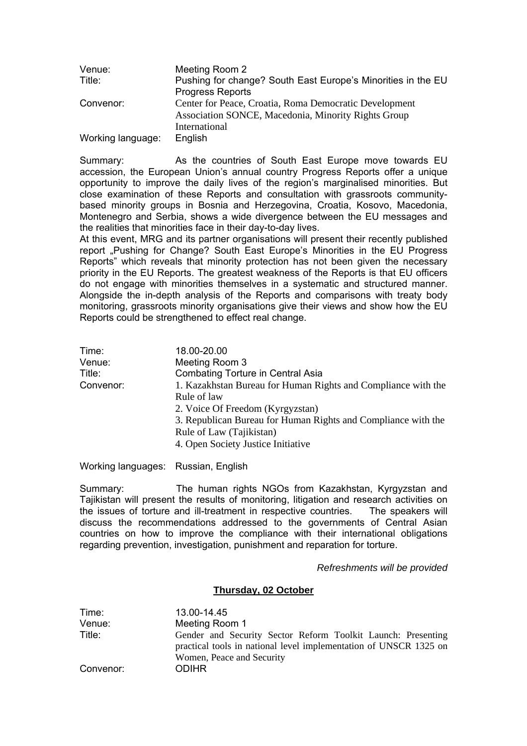| Venue:            | Meeting Room 2                                               |
|-------------------|--------------------------------------------------------------|
| Title:            | Pushing for change? South East Europe's Minorities in the EU |
|                   | <b>Progress Reports</b>                                      |
| Convenor:         | Center for Peace, Croatia, Roma Democratic Development       |
|                   | Association SONCE, Macedonia, Minority Rights Group          |
|                   | International                                                |
| Working language: | English                                                      |

Summary: As the countries of South East Europe move towards EU accession, the European Union's annual country Progress Reports offer a unique opportunity to improve the daily lives of the region's marginalised minorities. But close examination of these Reports and consultation with grassroots communitybased minority groups in Bosnia and Herzegovina, Croatia, Kosovo, Macedonia, Montenegro and Serbia, shows a wide divergence between the EU messages and the realities that minorities face in their day-to-day lives.

At this event, MRG and its partner organisations will present their recently published report "Pushing for Change? South East Europe's Minorities in the EU Progress Reports" which reveals that minority protection has not been given the necessary priority in the EU Reports. The greatest weakness of the Reports is that EU officers do not engage with minorities themselves in a systematic and structured manner. Alongside the in-depth analysis of the Reports and comparisons with treaty body monitoring, grassroots minority organisations give their views and show how the EU Reports could be strengthened to effect real change.

| Time:     | 18.00-20.00                                                   |
|-----------|---------------------------------------------------------------|
| Venue:    | Meeting Room 3                                                |
| Title:    | <b>Combating Torture in Central Asia</b>                      |
| Convenor: | 1. Kazakhstan Bureau for Human Rights and Compliance with the |
|           | Rule of law                                                   |
|           | 2. Voice Of Freedom (Kyrgyzstan)                              |
|           | 3. Republican Bureau for Human Rights and Compliance with the |
|           | Rule of Law (Tajikistan)                                      |
|           | 4. Open Society Justice Initiative                            |
|           |                                                               |

Working languages: Russian, English

Summary: The human rights NGOs from Kazakhstan, Kyrgyzstan and Tajikistan will present the results of monitoring, litigation and research activities on the issues of torture and ill-treatment in respective countries. The speakers will discuss the recommendations addressed to the governments of Central Asian countries on how to improve the compliance with their international obligations regarding prevention, investigation, punishment and reparation for torture.

## *Refreshments will be provided*

## **Thursday, 02 October**

| Time:     | 13.00-14.45                                                                                                                                                    |
|-----------|----------------------------------------------------------------------------------------------------------------------------------------------------------------|
| Venue:    | Meeting Room 1                                                                                                                                                 |
| Title:    | Gender and Security Sector Reform Toolkit Launch: Presenting<br>practical tools in national level implementation of UNSCR 1325 on<br>Women, Peace and Security |
| Convenor: | <b>ODIHR</b>                                                                                                                                                   |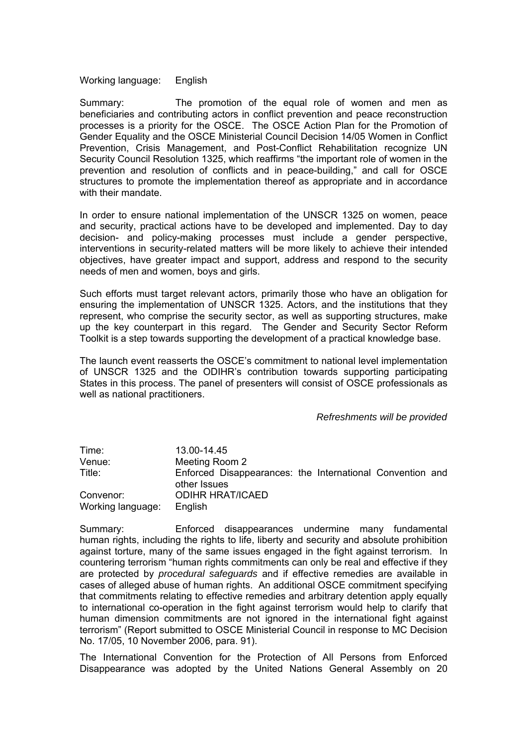Working language: English

Summary: The promotion of the equal role of women and men as beneficiaries and contributing actors in conflict prevention and peace reconstruction processes is a priority for the OSCE. The OSCE Action Plan for the Promotion of Gender Equality and the OSCE Ministerial Council Decision 14/05 Women in Conflict Prevention, Crisis Management, and Post-Conflict Rehabilitation recognize UN Security Council Resolution 1325, which reaffirms "the important role of women in the prevention and resolution of conflicts and in peace-building," and call for OSCE structures to promote the implementation thereof as appropriate and in accordance with their mandate

In order to ensure national implementation of the UNSCR 1325 on women, peace and security, practical actions have to be developed and implemented. Day to day decision- and policy-making processes must include a gender perspective, interventions in security-related matters will be more likely to achieve their intended objectives, have greater impact and support, address and respond to the security needs of men and women, boys and girls.

Such efforts must target relevant actors, primarily those who have an obligation for ensuring the implementation of UNSCR 1325. Actors, and the institutions that they represent, who comprise the security sector, as well as supporting structures, make up the key counterpart in this regard. The Gender and Security Sector Reform Toolkit is a step towards supporting the development of a practical knowledge base.

The launch event reasserts the OSCEís commitment to national level implementation of UNSCR 1325 and the ODIHRís contribution towards supporting participating States in this process. The panel of presenters will consist of OSCE professionals as well as national practitioners.

#### *Refreshments will be provided*

| Time:             | 13.00-14.45                                                               |
|-------------------|---------------------------------------------------------------------------|
| Venue:            | Meeting Room 2                                                            |
| Title:            | Enforced Disappearances: the International Convention and<br>other Issues |
| Convenor:         | <b>ODIHR HRAT/ICAED</b>                                                   |
| Working language: | English                                                                   |

Summary: Enforced disappearances undermine many fundamental human rights, including the rights to life, liberty and security and absolute prohibition against torture, many of the same issues engaged in the fight against terrorism. In countering terrorism "human rights commitments can only be real and effective if they are protected by *procedural safeguards* and if effective remedies are available in cases of alleged abuse of human rights. An additional OSCE commitment specifying that commitments relating to effective remedies and arbitrary detention apply equally to international co-operation in the fight against terrorism would help to clarify that human dimension commitments are not ignored in the international fight against terrorismî (Report submitted to OSCE Ministerial Council in response to MC Decision No. 17/05, 10 November 2006, para. 91).

The International Convention for the Protection of All Persons from Enforced Disappearance was adopted by the United Nations General Assembly on 20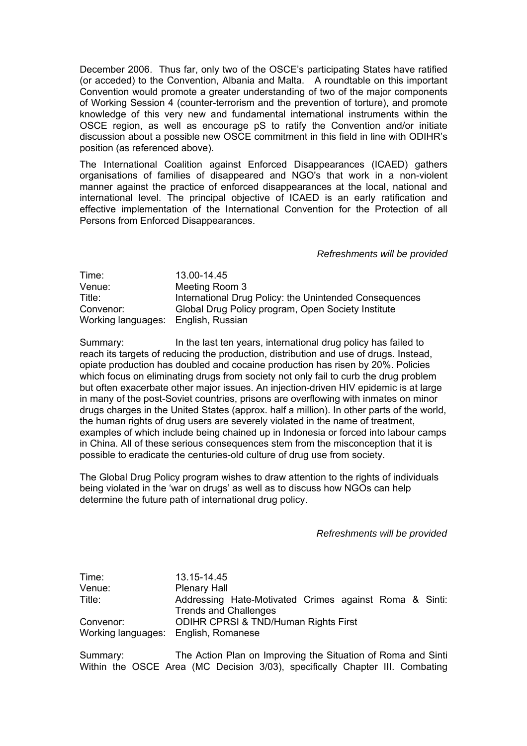December 2006. Thus far, only two of the OSCE's participating States have ratified (or acceded) to the Convention, Albania and Malta. A roundtable on this important Convention would promote a greater understanding of two of the major components of Working Session 4 (counter-terrorism and the prevention of torture), and promote knowledge of this very new and fundamental international instruments within the OSCE region, as well as encourage pS to ratify the Convention and/or initiate discussion about a possible new OSCE commitment in this field in line with ODIHRís position (as referenced above).

The International Coalition against Enforced Disappearances (ICAED) gathers organisations of families of disappeared and NGO's that work in a non-violent manner against the practice of enforced disappearances at the local, national and international level. The principal objective of ICAED is an early ratification and effective implementation of the International Convention for the Protection of all Persons from Enforced Disappearances.

*Refreshments will be provided* 

| Time:              | 13.00-14.45                                            |
|--------------------|--------------------------------------------------------|
| Venue:             | Meeting Room 3                                         |
| Title:             | International Drug Policy: the Unintended Consequences |
| Convenor:          | Global Drug Policy program, Open Society Institute     |
| Working languages: | English, Russian                                       |

Summary: In the last ten years, international drug policy has failed to reach its targets of reducing the production, distribution and use of drugs. Instead, opiate production has doubled and cocaine production has risen by 20%. Policies which focus on eliminating drugs from society not only fail to curb the drug problem but often exacerbate other major issues. An injection-driven HIV epidemic is at large in many of the post-Soviet countries, prisons are overflowing with inmates on minor drugs charges in the United States (approx. half a million). In other parts of the world, the human rights of drug users are severely violated in the name of treatment, examples of which include being chained up in Indonesia or forced into labour camps in China. All of these serious consequences stem from the misconception that it is possible to eradicate the centuries-old culture of drug use from society.

The Global Drug Policy program wishes to draw attention to the rights of individuals being violated in the 'war on drugs' as well as to discuss how NGOs can help determine the future path of international drug policy.

*Refreshments will be provided* 

Time: 13.15-14.45 Venue: Plenary Hall Title: Addressing Hate-Motivated Crimes against Roma & Sinti: Trends and Challenges Convenor: ODIHR CPRSI & TND/Human Rights First Working languages: English, Romanese

Summary: The Action Plan on Improving the Situation of Roma and Sinti Within the OSCE Area (MC Decision 3/03), specifically Chapter III. Combating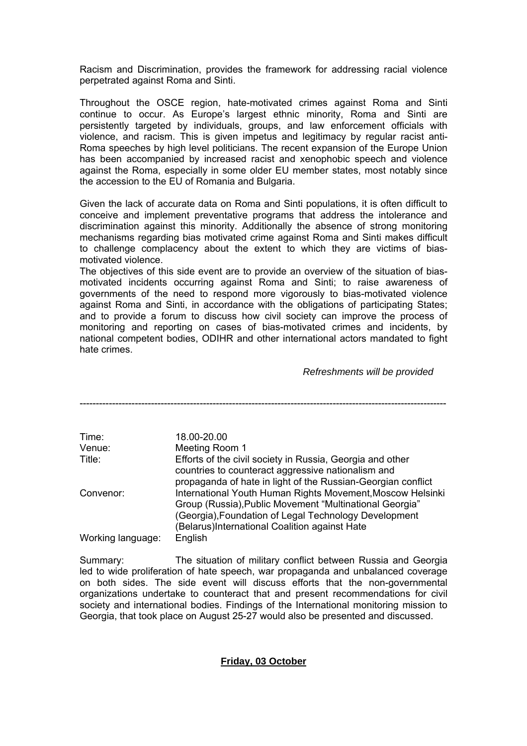Racism and Discrimination, provides the framework for addressing racial violence perpetrated against Roma and Sinti.

Throughout the OSCE region, hate-motivated crimes against Roma and Sinti continue to occur. As Europe's largest ethnic minority, Roma and Sinti are persistently targeted by individuals, groups, and law enforcement officials with violence, and racism. This is given impetus and legitimacy by regular racist anti-Roma speeches by high level politicians. The recent expansion of the Europe Union has been accompanied by increased racist and xenophobic speech and violence against the Roma, especially in some older EU member states, most notably since the accession to the EU of Romania and Bulgaria.

Given the lack of accurate data on Roma and Sinti populations, it is often difficult to conceive and implement preventative programs that address the intolerance and discrimination against this minority. Additionally the absence of strong monitoring mechanisms regarding bias motivated crime against Roma and Sinti makes difficult to challenge complacency about the extent to which they are victims of biasmotivated violence.

The objectives of this side event are to provide an overview of the situation of biasmotivated incidents occurring against Roma and Sinti; to raise awareness of governments of the need to respond more vigorously to bias-motivated violence against Roma and Sinti, in accordance with the obligations of participating States; and to provide a forum to discuss how civil society can improve the process of monitoring and reporting on cases of bias-motivated crimes and incidents, by national competent bodies, ODIHR and other international actors mandated to fight hate crimes.

*Refreshments will be provided* 

| Time:             | 18.00-20.00                                                                                                                                                                           |
|-------------------|---------------------------------------------------------------------------------------------------------------------------------------------------------------------------------------|
| Venue:            | Meeting Room 1                                                                                                                                                                        |
| Title:            | Efforts of the civil society in Russia, Georgia and other<br>countries to counteract aggressive nationalism and                                                                       |
| Convenor:         | propaganda of hate in light of the Russian-Georgian conflict<br>International Youth Human Rights Movement, Moscow Helsinki<br>Group (Russia), Public Movement "Multinational Georgia" |
| Working language: | (Georgia), Foundation of Legal Technology Development<br>(Belarus)International Coalition against Hate<br>English                                                                     |

Summary: The situation of military conflict between Russia and Georgia led to wide proliferation of hate speech, war propaganda and unbalanced coverage on both sides. The side event will discuss efforts that the non-governmental organizations undertake to counteract that and present recommendations for civil society and international bodies. Findings of the International monitoring mission to Georgia, that took place on August 25-27 would also be presented and discussed.

# **Friday, 03 October**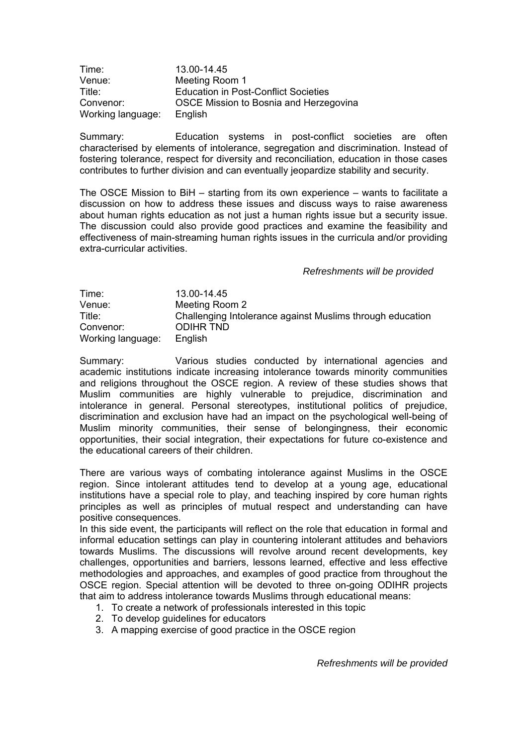| Time:             | 13.00-14.45                                 |
|-------------------|---------------------------------------------|
| Venue:            | Meeting Room 1                              |
| Title:            | <b>Education in Post-Conflict Societies</b> |
| Convenor:         | OSCE Mission to Bosnia and Herzegovina      |
| Working language: | English                                     |

Summary: Education systems in post-conflict societies are often characterised by elements of intolerance, segregation and discrimination. Instead of fostering tolerance, respect for diversity and reconciliation, education in those cases contributes to further division and can eventually jeopardize stability and security.

The OSCE Mission to BiH  $-$  starting from its own experience  $-$  wants to facilitate a discussion on how to address these issues and discuss ways to raise awareness about human rights education as not just a human rights issue but a security issue. The discussion could also provide good practices and examine the feasibility and effectiveness of main-streaming human rights issues in the curricula and/or providing extra-curricular activities.

## *Refreshments will be provided*

| Time:             | 13.00-14.45                                               |
|-------------------|-----------------------------------------------------------|
| Venue:            | Meeting Room 2                                            |
| Title:            | Challenging Intolerance against Muslims through education |
| Convenor:         | ODIHR TND                                                 |
| Working language: | English                                                   |

Summary: Various studies conducted by international agencies and academic institutions indicate increasing intolerance towards minority communities and religions throughout the OSCE region. A review of these studies shows that Muslim communities are highly vulnerable to prejudice, discrimination and intolerance in general. Personal stereotypes, institutional politics of prejudice, discrimination and exclusion have had an impact on the psychological well-being of Muslim minority communities, their sense of belongingness, their economic opportunities, their social integration, their expectations for future co-existence and the educational careers of their children.

There are various ways of combating intolerance against Muslims in the OSCE region. Since intolerant attitudes tend to develop at a young age, educational institutions have a special role to play, and teaching inspired by core human rights principles as well as principles of mutual respect and understanding can have positive consequences.

In this side event, the participants will reflect on the role that education in formal and informal education settings can play in countering intolerant attitudes and behaviors towards Muslims. The discussions will revolve around recent developments, key challenges, opportunities and barriers, lessons learned, effective and less effective methodologies and approaches, and examples of good practice from throughout the OSCE region. Special attention will be devoted to three on-going ODIHR projects that aim to address intolerance towards Muslims through educational means:

- 1. To create a network of professionals interested in this topic
- 2. To develop guidelines for educators
- 3. A mapping exercise of good practice in the OSCE region

*Refreshments will be provided*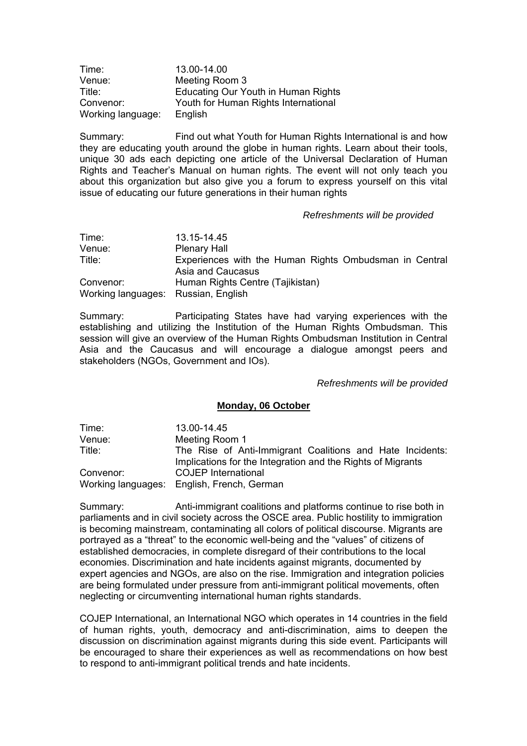| Time:             | 13.00-14.00                          |
|-------------------|--------------------------------------|
| Venue:            | Meeting Room 3                       |
| Title:            | Educating Our Youth in Human Rights  |
| Convenor:         | Youth for Human Rights International |
| Working language: | English                              |

Summary: Find out what Youth for Human Rights International is and how they are educating youth around the globe in human rights. Learn about their tools, unique 30 ads each depicting one article of the Universal Declaration of Human Rights and Teacherís Manual on human rights. The event will not only teach you about this organization but also give you a forum to express yourself on this vital issue of educating our future generations in their human rights

### *Refreshments will be provided*

| Time:                               | 13.15-14.45                                                                 |
|-------------------------------------|-----------------------------------------------------------------------------|
| Venue:                              | <b>Plenary Hall</b>                                                         |
| Title:                              | Experiences with the Human Rights Ombudsman in Central<br>Asia and Caucasus |
| Convenor:                           | Human Rights Centre (Tajikistan)                                            |
| Working languages: Russian, English |                                                                             |

Summary: Participating States have had varying experiences with the establishing and utilizing the Institution of the Human Rights Ombudsman. This session will give an overview of the Human Rights Ombudsman Institution in Central Asia and the Caucasus and will encourage a dialogue amongst peers and stakeholders (NGOs, Government and IOs).

*Refreshments will be provided* 

#### **Monday, 06 October**

| Time:     | 13.00-14.45                                                 |
|-----------|-------------------------------------------------------------|
| Venue:    | Meeting Room 1                                              |
| Title:    | The Rise of Anti-Immigrant Coalitions and Hate Incidents:   |
|           | Implications for the Integration and the Rights of Migrants |
| Convenor: | <b>COJEP</b> International                                  |
|           | Working languages: English, French, German                  |

Summary: Anti-immigrant coalitions and platforms continue to rise both in parliaments and in civil society across the OSCE area. Public hostility to immigration is becoming mainstream, contaminating all colors of political discourse. Migrants are portrayed as a "threat" to the economic well-being and the "values" of citizens of established democracies, in complete disregard of their contributions to the local economies. Discrimination and hate incidents against migrants, documented by expert agencies and NGOs, are also on the rise. Immigration and integration policies are being formulated under pressure from anti-immigrant political movements, often neglecting or circumventing international human rights standards.

COJEP International, an International NGO which operates in 14 countries in the field of human rights, youth, democracy and anti-discrimination, aims to deepen the discussion on discrimination against migrants during this side event. Participants will be encouraged to share their experiences as well as recommendations on how best to respond to anti-immigrant political trends and hate incidents.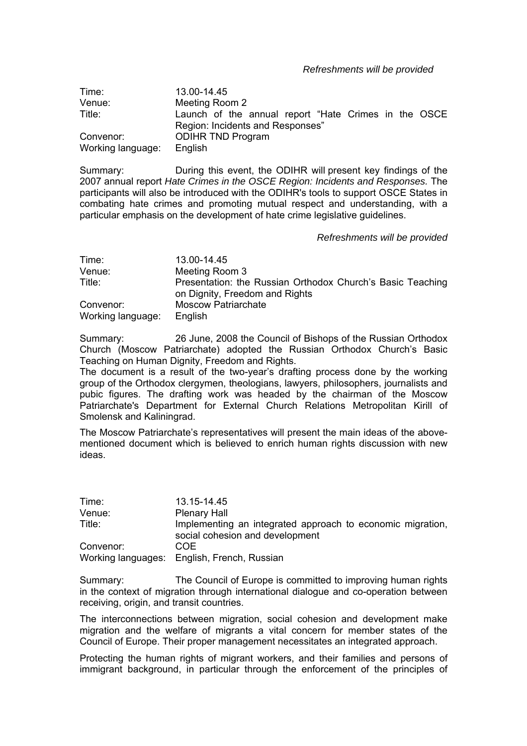*Refreshments will be provided* 

| Time:             | 13.00-14.45                                          |
|-------------------|------------------------------------------------------|
| Venue:            | Meeting Room 2                                       |
| Title:            | Launch of the annual report "Hate Crimes in the OSCE |
|                   | Region: Incidents and Responses"                     |
| Convenor:         | <b>ODIHR TND Program</b>                             |
| Working language: | English                                              |

Summary: During this event, the ODIHR will present key findings of the 2007 annual report *Hate Crimes in the OSCE Region: Incidents and Responses.* The participants will also be introduced with the ODIHR's tools to support OSCE States in combating hate crimes and promoting mutual respect and understanding, with a particular emphasis on the development of hate crime legislative guidelines.

*Refreshments will be provided* 

| Time:             | 13.00-14.45                                                                                  |
|-------------------|----------------------------------------------------------------------------------------------|
| Venue:            | Meeting Room 3                                                                               |
| Title:            | Presentation: the Russian Orthodox Church's Basic Teaching<br>on Dignity, Freedom and Rights |
| Convenor:         | <b>Moscow Patriarchate</b>                                                                   |
| Working language: | English                                                                                      |

Summary: 26 June, 2008 the Council of Bishops of the Russian Orthodox Church (Moscow Patriarchate) adopted the Russian Orthodox Churchís Basic Teaching on Human Dignity, Freedom and Rights.

The document is a result of the two-year's drafting process done by the working group of the Orthodox clergymen, theologians, lawyers, philosophers, journalists and pubic figures. The drafting work was headed by the chairman of the Moscow Patriarchate's Department for External Church Relations Metropolitan Kirill of Smolensk and Kaliningrad.

The Moscow Patriarchate's representatives will present the main ideas of the abovementioned document which is believed to enrich human rights discussion with new ideas.

| Time:     | 13.15-14.45                                                                                   |
|-----------|-----------------------------------------------------------------------------------------------|
| Venue:    | <b>Plenary Hall</b>                                                                           |
| Title:    | Implementing an integrated approach to economic migration,<br>social cohesion and development |
| Convenor: | COE                                                                                           |
|           | Working languages: English, French, Russian                                                   |

Summary: The Council of Europe is committed to improving human rights in the context of migration through international dialogue and co-operation between receiving, origin, and transit countries.

The interconnections between migration, social cohesion and development make migration and the welfare of migrants a vital concern for member states of the Council of Europe. Their proper management necessitates an integrated approach.

Protecting the human rights of migrant workers, and their families and persons of immigrant background, in particular through the enforcement of the principles of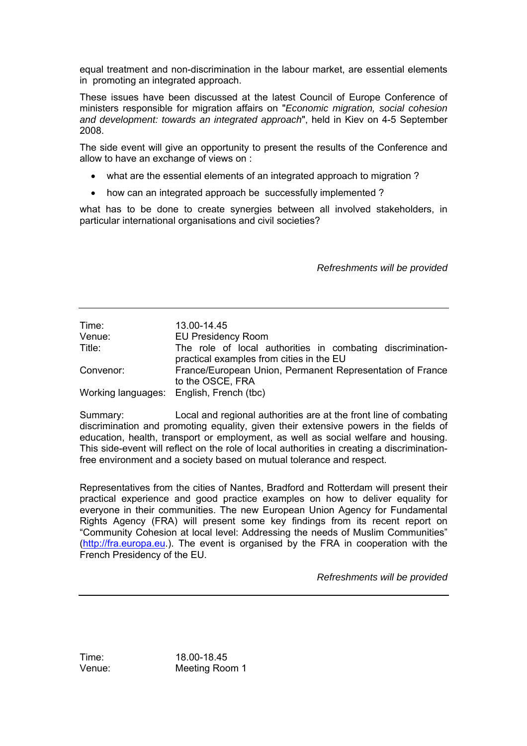equal treatment and non-discrimination in the labour market, are essential elements in promoting an integrated approach.

These issues have been discussed at the latest Council of Europe Conference of ministers responsible for migration affairs on "*Economic migration, social cohesion and development: towards an integrated approach*", held in Kiev on 4-5 September 2008.

The side event will give an opportunity to present the results of the Conference and allow to have an exchange of views on :

- what are the essential elements of an integrated approach to migration ?
- how can an integrated approach be successfully implemented ?

what has to be done to create synergies between all involved stakeholders, in particular international organisations and civil societies?

*Refreshments will be provided* 

| Time:     | 13.00-14.45                                                                                            |  |
|-----------|--------------------------------------------------------------------------------------------------------|--|
| Venue:    | <b>EU Presidency Room</b>                                                                              |  |
| Title:    | The role of local authorities in combating discrimination-<br>practical examples from cities in the EU |  |
| Convenor: | France/European Union, Permanent Representation of France<br>to the OSCE, FRA                          |  |
|           | Working languages: English, French (tbc)                                                               |  |

Summary: Local and regional authorities are at the front line of combating discrimination and promoting equality, given their extensive powers in the fields of education, health, transport or employment, as well as social welfare and housing. This side-event will reflect on the role of local authorities in creating a discriminationfree environment and a society based on mutual tolerance and respect.

Representatives from the cities of Nantes, Bradford and Rotterdam will present their practical experience and good practice examples on how to deliver equality for everyone in their communities. The new European Union Agency for Fundamental Rights Agency (FRA) will present some key findings from its recent report on "Community Cohesion at local level: Addressing the needs of Muslim Communities" ([http://fra.europa.eu.](http://fra.europa.eu/)). The event is organised by the FRA in cooperation with the French Presidency of the EU.

*Refreshments will be provided* 

Time: 18.00-18.45 Venue: Meeting Room 1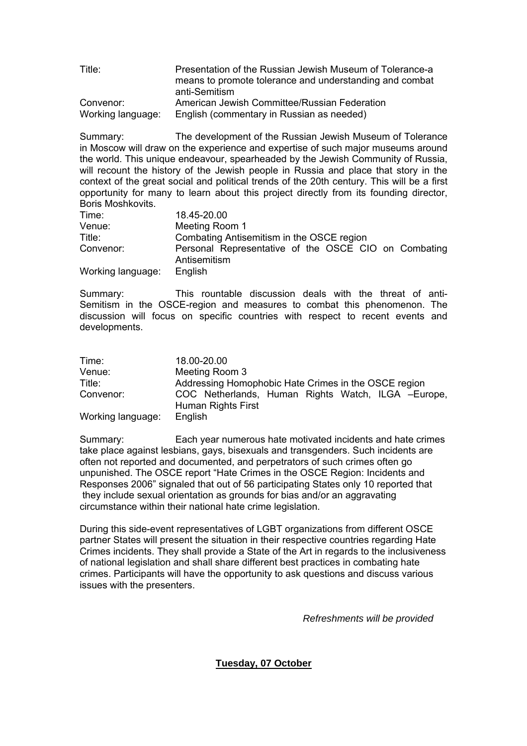| Title:            | Presentation of the Russian Jewish Museum of Tolerance-a |
|-------------------|----------------------------------------------------------|
|                   | means to promote tolerance and understanding and combat  |
|                   | anti-Semitism                                            |
| Convenor:         | American Jewish Committee/Russian Federation             |
| Working language: | English (commentary in Russian as needed)                |

Summary: The development of the Russian Jewish Museum of Tolerance in Moscow will draw on the experience and expertise of such major museums around the world. This unique endeavour, spearheaded by the Jewish Community of Russia, will recount the history of the Jewish people in Russia and place that story in the context of the great social and political trends of the 20th century. This will be a first opportunity for many to learn about this project directly from its founding director, Boris Moshkovits.

| Time:             | 18.45-20.00                                                          |
|-------------------|----------------------------------------------------------------------|
| Venue:            | Meeting Room 1                                                       |
| Title:            | Combating Antisemitism in the OSCE region                            |
| Convenor:         | Personal Representative of the OSCE CIO on Combating<br>Antisemitism |
| Working language: | English                                                              |

Summary: This rountable discussion deals with the threat of anti-Semitism in the OSCE-region and measures to combat this phenomenon. The discussion will focus on specific countries with respect to recent events and developments.

| Time:             | 18.00-20.00                                                              |
|-------------------|--------------------------------------------------------------------------|
| Venue:            | Meeting Room 3                                                           |
| Title:            | Addressing Homophobic Hate Crimes in the OSCE region                     |
| Convenor:         | COC Netherlands, Human Rights Watch, ILGA -Europe,<br>Human Rights First |
| Working language: | English                                                                  |

Summary: Each year numerous hate motivated incidents and hate crimes take place against lesbians, gays, bisexuals and transgenders. Such incidents are often not reported and documented, and perpetrators of such crimes often go unpunished. The OSCE report "Hate Crimes in the OSCE Region: Incidents and Responses 2006î signaled that out of 56 participating States only 10 reported that they include sexual orientation as grounds for bias and/or an aggravating circumstance within their national hate crime legislation.

During this side-event representatives of LGBT organizations from different OSCE partner States will present the situation in their respective countries regarding Hate Crimes incidents. They shall provide a State of the Art in regards to the inclusiveness of national legislation and shall share different best practices in combating hate crimes. Participants will have the opportunity to ask questions and discuss various issues with the presenters.

*Refreshments will be provided* 

**Tuesday, 07 October**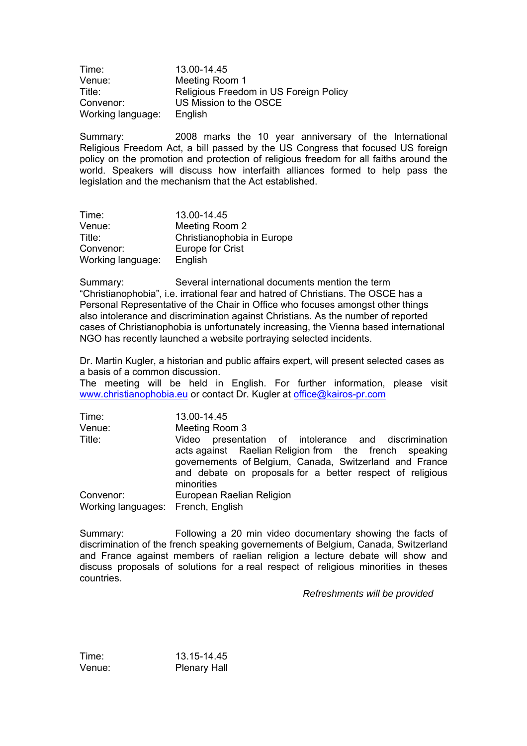| Time:             | 13.00-14.45                            |
|-------------------|----------------------------------------|
| Venue:            | Meeting Room 1                         |
| Title:            | Religious Freedom in US Foreign Policy |
| Convenor:         | US Mission to the OSCE                 |
| Working language: | English                                |

Summary: 2008 marks the 10 year anniversary of the International Religious Freedom Act, a bill passed by the US Congress that focused US foreign policy on the promotion and protection of religious freedom for all faiths around the world. Speakers will discuss how interfaith alliances formed to help pass the legislation and the mechanism that the Act established.

| Time:             | 13.00-14.45                |
|-------------------|----------------------------|
| Venue:            | Meeting Room 2             |
| Title:            | Christianophobia in Europe |
| Convenor:         | Europe for Crist           |
| Working language: | English                    |

Summary: Several international documents mention the term ìChristianophobiaî, i.e. irrational fear and hatred of Christians. The OSCE has a Personal Representative of the Chair in Office who focuses amongst other things also intolerance and discrimination against Christians. As the number of reported cases of Christianophobia is unfortunately increasing, the Vienna based international NGO has recently launched a website portraying selected incidents.

Dr. Martin Kugler, a historian and public affairs expert, will present selected cases as a basis of a common discussion.

The meeting will be held in English. For further information, please visit [www.christianophobia.eu](http://www.christianophobia.eu/) or contact Dr. Kugler at [office@kairos-pr.com](mailto:office@kairos-pr.com)

| Time:                                           | 13.00-14.45                                                                                                                                                                                                                                             |
|-------------------------------------------------|---------------------------------------------------------------------------------------------------------------------------------------------------------------------------------------------------------------------------------------------------------|
| Venue:                                          | Meeting Room 3                                                                                                                                                                                                                                          |
| Title:                                          | presentation of intolerance and discrimination<br>Video<br>acts against Raelian Religion from the french speaking<br>governements of Belgium, Canada, Switzerland and France<br>and debate on proposals for a better respect of religious<br>minorities |
| Convenor:<br>Working languages: French, English | European Raelian Religion                                                                                                                                                                                                                               |

Summary: Following a 20 min video documentary showing the facts of discrimination of the french speaking governements of Belgium, Canada, Switzerland and France against members of raelian religion a lecture debate will show and discuss proposals of solutions for a real respect of religious minorities in theses countries.

*Refreshments will be provided* 

| Time:  | 13.15-14.45         |
|--------|---------------------|
| Venue: | <b>Plenary Hall</b> |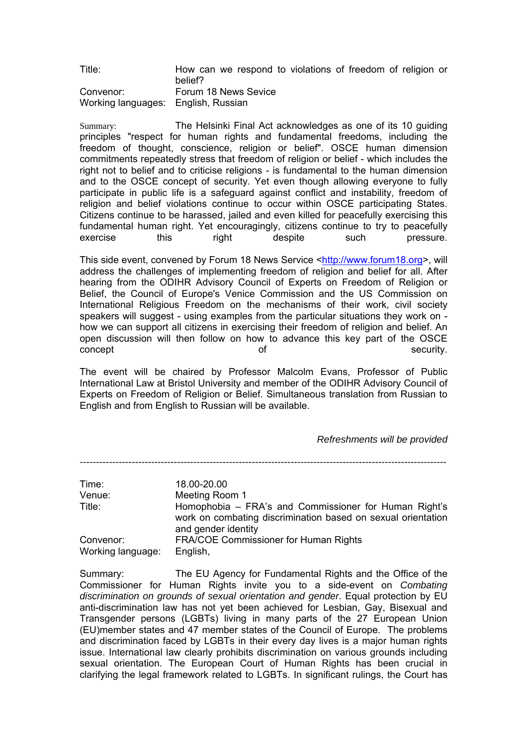| Title:                              | How can we respond to violations of freedom of religion or<br>belief? |
|-------------------------------------|-----------------------------------------------------------------------|
| Convenor:                           | Forum 18 News Sevice                                                  |
| Working languages: English, Russian |                                                                       |

Summary: The Helsinki Final Act acknowledges as one of its 10 guiding principles "respect for human rights and fundamental freedoms, including the freedom of thought, conscience, religion or belief". OSCE human dimension commitments repeatedly stress that freedom of religion or belief - which includes the right not to belief and to criticise religions - is fundamental to the human dimension and to the OSCE concept of security. Yet even though allowing everyone to fully participate in public life is a safeguard against conflict and instability, freedom of religion and belief violations continue to occur within OSCE participating States. Citizens continue to be harassed, jailed and even killed for peacefully exercising this fundamental human right. Yet encouragingly, citizens continue to try to peacefully exercise this right despite such pressure.

This side event, convened by Forum 18 News Service <[http://www.forum18.org](http://www.forum18.org/)>, will address the challenges of implementing freedom of religion and belief for all. After hearing from the ODIHR Advisory Council of Experts on Freedom of Religion or Belief, the Council of Europe's Venice Commission and the US Commission on International Religious Freedom on the mechanisms of their work, civil society speakers will suggest - using examples from the particular situations they work on how we can support all citizens in exercising their freedom of religion and belief. An open discussion will then follow on how to advance this key part of the OSCE concept concept concept concept  $\circ$  security.

The event will be chaired by Professor Malcolm Evans, Professor of Public International Law at Bristol University and member of the ODIHR Advisory Council of Experts on Freedom of Religion or Belief. Simultaneous translation from Russian to English and from English to Russian will be available.

# *Refreshments will be provided*

*-----------------------------------------------------------------------------------------------------------------* 

| Time:             | 18.00-20.00                                                                                                                                  |
|-------------------|----------------------------------------------------------------------------------------------------------------------------------------------|
| Venue:            | Meeting Room 1                                                                                                                               |
| Title:            | Homophobia – FRA's and Commissioner for Human Right's<br>work on combating discrimination based on sexual orientation<br>and gender identity |
| Convenor:         | <b>FRA/COE Commissioner for Human Rights</b>                                                                                                 |
| Working language: | English,                                                                                                                                     |

Summary: The EU Agency for Fundamental Rights and the Office of the Commissioner for Human Rights invite you to a side-event on *Combating discrimination on grounds of sexual orientation and gender*. Equal protection by EU anti-discrimination law has not yet been achieved for Lesbian, Gay, Bisexual and Transgender persons (LGBTs) living in many parts of the 27 European Union (EU)member states and 47 member states of the Council of Europe. The problems and discrimination faced by LGBTs in their every day lives is a major human rights issue. International law clearly prohibits discrimination on various grounds including sexual orientation. The European Court of Human Rights has been crucial in clarifying the legal framework related to LGBTs. In significant rulings, the Court has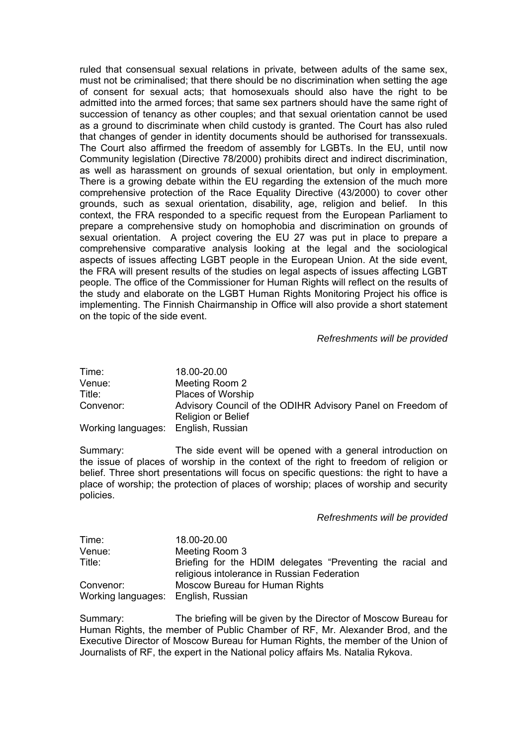ruled that consensual sexual relations in private, between adults of the same sex, must not be criminalised; that there should be no discrimination when setting the age of consent for sexual acts; that homosexuals should also have the right to be admitted into the armed forces; that same sex partners should have the same right of succession of tenancy as other couples; and that sexual orientation cannot be used as a ground to discriminate when child custody is granted. The Court has also ruled that changes of gender in identity documents should be authorised for transsexuals. The Court also affirmed the freedom of assembly for LGBTs. In the EU, until now Community legislation (Directive 78/2000) prohibits direct and indirect discrimination, as well as harassment on grounds of sexual orientation, but only in employment. There is a growing debate within the EU regarding the extension of the much more comprehensive protection of the Race Equality Directive (43/2000) to cover other grounds, such as sexual orientation, disability, age, religion and belief. In this context, the FRA responded to a specific request from the European Parliament to prepare a comprehensive study on homophobia and discrimination on grounds of sexual orientation. A project covering the EU 27 was put in place to prepare a comprehensive comparative analysis looking at the legal and the sociological aspects of issues affecting LGBT people in the European Union. At the side event, the FRA will present results of the studies on legal aspects of issues affecting LGBT people. The office of the Commissioner for Human Rights will reflect on the results of the study and elaborate on the LGBT Human Rights Monitoring Project his office is implementing. The Finnish Chairmanship in Office will also provide a short statement on the topic of the side event.

## *Refreshments will be provided*

| Time:                               | 18.00-20.00                                                |
|-------------------------------------|------------------------------------------------------------|
| Venue:                              | Meeting Room 2                                             |
| Title:                              | <b>Places of Worship</b>                                   |
| Convenor:                           | Advisory Council of the ODIHR Advisory Panel on Freedom of |
|                                     | Religion or Belief                                         |
| Working languages: English, Russian |                                                            |

Summary: The side event will be opened with a general introduction on the issue of places of worship in the context of the right to freedom of religion or belief. Three short presentations will focus on specific questions: the right to have a place of worship; the protection of places of worship; places of worship and security policies.

#### *Refreshments will be provided*

| Time:                               | 18.00-20.00                                                                                               |
|-------------------------------------|-----------------------------------------------------------------------------------------------------------|
| Venue:                              | Meeting Room 3                                                                                            |
| Title:                              | Briefing for the HDIM delegates "Preventing the racial and<br>religious intolerance in Russian Federation |
| Convenor:                           | Moscow Bureau for Human Rights                                                                            |
| Working languages: English, Russian |                                                                                                           |

Summary: The briefing will be given by the Director of Moscow Bureau for Human Rights, the member of Public Chamber of RF, Mr. Alexander Brod, and the Executive Director of Moscow Bureau for Human Rights, the member of the Union of Journalists of RF, the expert in the National policy affairs Ms. Natalia Rykova.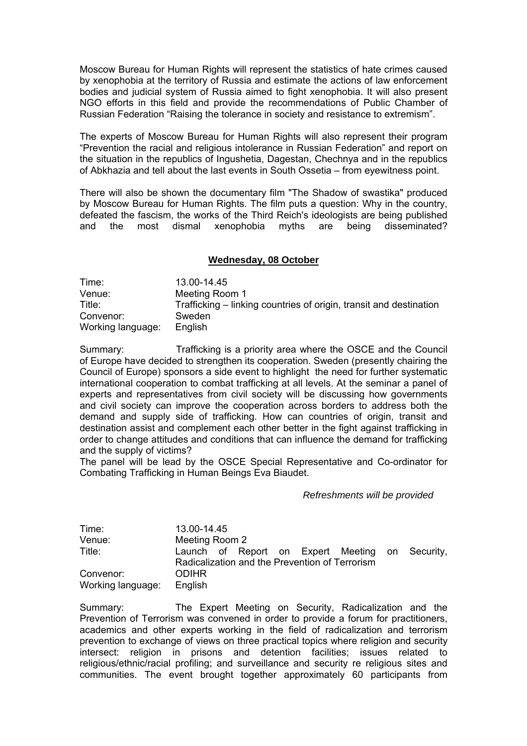Moscow Bureau for Human Rights will represent the statistics of hate crimes caused by xenophobia at the territory of Russia and estimate the actions of law enforcement bodies and judicial system of Russia aimed to fight xenophobia. It will also present NGO efforts in this field and provide the recommendations of Public Chamber of Russian Federation "Raising the tolerance in society and resistance to extremism".

The experts of Moscow Bureau for Human Rights will also represent their program ìPrevention the racial and religious intolerance in Russian Federationî and report on the situation in the republics of Ingushetia, Dagestan, Chechnya and in the republics of Abkhazia and tell about the last events in South Ossetia – from eyewitness point.

There will also be shown the documentary film "The Shadow of swastika" produced by Moscow Bureau for Human Rights. The film puts a question: Why in the country, defeated the fascism, the works of the Third Reich's ideologists are being published and the most dismal xenophobia myths are being disseminated?

## **Wednesday, 08 October**

| Time:             | 13.00-14.45                                                        |
|-------------------|--------------------------------------------------------------------|
| Venue:            | Meeting Room 1                                                     |
| Title:            | Trafficking – linking countries of origin, transit and destination |
| Convenor:         | Sweden                                                             |
| Working language: | English                                                            |

Summary: Trafficking is a priority area where the OSCE and the Council of Europe have decided to strengthen its cooperation. Sweden (presently chairing the Council of Europe) sponsors a side event to highlight the need for further systematic international cooperation to combat trafficking at all levels. At the seminar a panel of experts and representatives from civil society will be discussing how governments and civil society can improve the cooperation across borders to address both the demand and supply side of trafficking. How can countries of origin, transit and destination assist and complement each other better in the fight against trafficking in order to change attitudes and conditions that can influence the demand for trafficking and the supply of victims?

The panel will be lead by the OSCE Special Representative and Co-ordinator for Combating Trafficking in Human Beings Eva Biaudet.

## *Refreshments will be provided*

| Time:             | 13.00-14.45                                     |
|-------------------|-------------------------------------------------|
| Venue:            | Meeting Room 2                                  |
| Title:            | Launch of Report on Expert Meeting on Security, |
|                   | Radicalization and the Prevention of Terrorism  |
| Convenor:         | <b>ODIHR</b>                                    |
| Working language: | English                                         |

Summary: The Expert Meeting on Security, Radicalization and the Prevention of Terrorism was convened in order to provide a forum for practitioners, academics and other experts working in the field of radicalization and terrorism prevention to exchange of views on three practical topics where religion and security intersect: religion in prisons and detention facilities; issues related to religious/ethnic/racial profiling; and surveillance and security re religious sites and communities. The event brought together approximately 60 participants from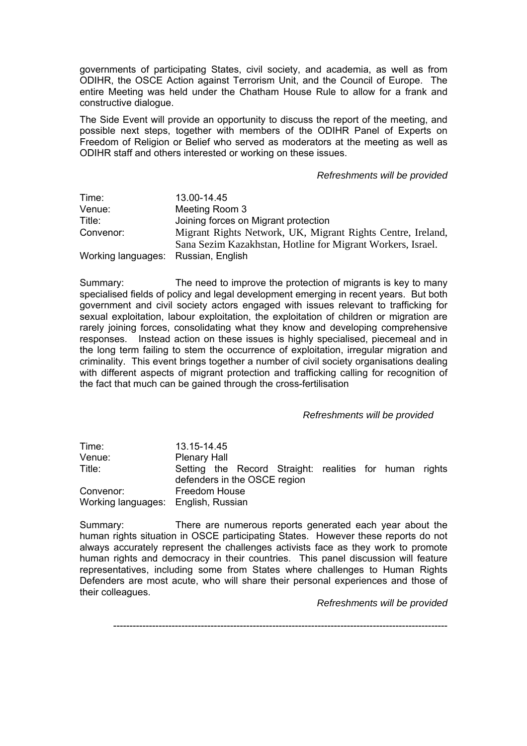governments of participating States, civil society, and academia, as well as from ODIHR, the OSCE Action against Terrorism Unit, and the Council of Europe. The entire Meeting was held under the Chatham House Rule to allow for a frank and constructive dialogue.

The Side Event will provide an opportunity to discuss the report of the meeting, and possible next steps, together with members of the ODIHR Panel of Experts on Freedom of Religion or Belief who served as moderators at the meeting as well as ODIHR staff and others interested or working on these issues.

## *Refreshments will be provided*

| Time:                               | 13.00-14.45                                                 |
|-------------------------------------|-------------------------------------------------------------|
| Venue:                              | Meeting Room 3                                              |
| Title:                              | Joining forces on Migrant protection                        |
| Convenor:                           | Migrant Rights Network, UK, Migrant Rights Centre, Ireland, |
|                                     | Sana Sezim Kazakhstan, Hotline for Migrant Workers, Israel. |
| Working languages: Russian, English |                                                             |

Summary: The need to improve the protection of migrants is key to many specialised fields of policy and legal development emerging in recent years. But both government and civil society actors engaged with issues relevant to trafficking for sexual exploitation, labour exploitation, the exploitation of children or migration are rarely joining forces, consolidating what they know and developing comprehensive responses. Instead action on these issues is highly specialised, piecemeal and in the long term failing to stem the occurrence of exploitation, irregular migration and criminality. This event brings together a number of civil society organisations dealing with different aspects of migrant protection and trafficking calling for recognition of the fact that much can be gained through the cross-fertilisation

## *Refreshments will be provided*

| Time:                               | 13.15-14.45                                                                             |
|-------------------------------------|-----------------------------------------------------------------------------------------|
| Venue:                              | <b>Plenary Hall</b>                                                                     |
| Title:                              | Setting the Record Straight: realities for human rights<br>defenders in the OSCE region |
| Convenor:                           | <b>Freedom House</b>                                                                    |
| Working languages: English, Russian |                                                                                         |

Summary: There are numerous reports generated each year about the human rights situation in OSCE participating States. However these reports do not always accurately represent the challenges activists face as they work to promote human rights and democracy in their countries. This panel discussion will feature representatives, including some from States where challenges to Human Rights Defenders are most acute, who will share their personal experiences and those of their colleagues.

*Refreshments will be provided*

-------------------------------------------------------------------------------------------------------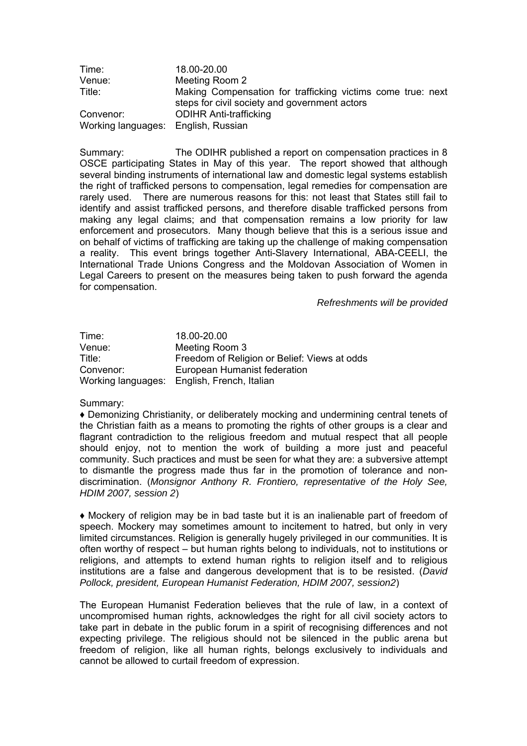| Time:                               | 18.00-20.00                                                                                                  |
|-------------------------------------|--------------------------------------------------------------------------------------------------------------|
| Venue:                              | Meeting Room 2                                                                                               |
| Title:                              | Making Compensation for trafficking victims come true: next<br>steps for civil society and government actors |
| Convenor:                           | <b>ODIHR Anti-trafficking</b>                                                                                |
| Working languages: English, Russian |                                                                                                              |

Summary: The ODIHR published a report on compensation practices in 8 OSCE participating States in May of this year. The report showed that although several binding instruments of international law and domestic legal systems establish the right of trafficked persons to compensation, legal remedies for compensation are rarely used. There are numerous reasons for this: not least that States still fail to identify and assist trafficked persons, and therefore disable trafficked persons from making any legal claims; and that compensation remains a low priority for law enforcement and prosecutors. Many though believe that this is a serious issue and on behalf of victims of trafficking are taking up the challenge of making compensation a reality. This event brings together Anti-Slavery International, ABA-CEELI, the International Trade Unions Congress and the Moldovan Association of Women in Legal Careers to present on the measures being taken to push forward the agenda for compensation.

*Refreshments will be provided* 

Time: 18.00-20.00 Venue: Meeting Room 3 Title: Freedom of Religion or Belief: Views at odds Convenor: European Humanist federation Working languages: English, French, Italian

## Summary:

♦ Demonizing Christianity, or deliberately mocking and undermining central tenets of the Christian faith as a means to promoting the rights of other groups is a clear and flagrant contradiction to the religious freedom and mutual respect that all people should enjoy, not to mention the work of building a more just and peaceful community. Such practices and must be seen for what they are: a subversive attempt to dismantle the progress made thus far in the promotion of tolerance and nondiscrimination. (*Monsignor Anthony R. Frontiero, representative of the Holy See, HDIM 2007, session 2*)

♦ Mockery of religion may be in bad taste but it is an inalienable part of freedom of speech. Mockery may sometimes amount to incitement to hatred, but only in very limited circumstances. Religion is generally hugely privileged in our communities. It is often worthy of respect  $-$  but human rights belong to individuals, not to institutions or religions, and attempts to extend human rights to religion itself and to religious institutions are a false and dangerous development that is to be resisted. (*David Pollock, president, European Humanist Federation, HDIM 2007, session2*)

The European Humanist Federation believes that the rule of law, in a context of uncompromised human rights, acknowledges the right for all civil society actors to take part in debate in the public forum in a spirit of recognising differences and not expecting privilege. The religious should not be silenced in the public arena but freedom of religion, like all human rights, belongs exclusively to individuals and cannot be allowed to curtail freedom of expression.